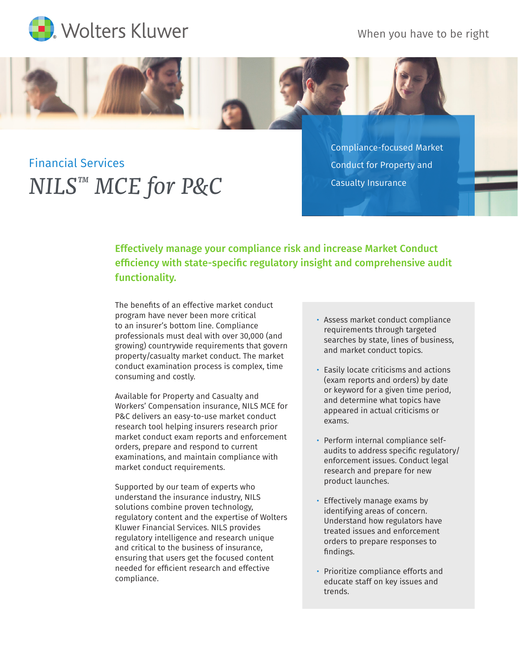

When you have to be right



Financial Services *NILS™ MCE for P&C* Compliance-focused Market Conduct for Property and Casualty Insurance

Effectively manage your compliance risk and increase Market Conduct efficiency with state-specific regulatory insight and comprehensive audit functionality.

The benefits of an effective market conduct program have never been more critical to an insurer's bottom line. Compliance professionals must deal with over 30,000 (and growing) countrywide requirements that govern property/casualty market conduct. The market conduct examination process is complex, time consuming and costly.

Available for Property and Casualty and Workers' Compensation insurance, NILS MCE for P&C delivers an easy-to-use market conduct research tool helping insurers research prior market conduct exam reports and enforcement orders, prepare and respond to current examinations, and maintain compliance with market conduct requirements.

Supported by our team of experts who understand the insurance industry, NILS solutions combine proven technology, regulatory content and the expertise of Wolters Kluwer Financial Services. NILS provides regulatory intelligence and research unique and critical to the business of insurance, ensuring that users get the focused content needed for efficient research and effective compliance.

- Assess market conduct compliance requirements through targeted searches by state, lines of business, and market conduct topics.
- Easily locate criticisms and actions (exam reports and orders) by date or keyword for a given time period, and determine what topics have appeared in actual criticisms or exams.
- Perform internal compliance selfaudits to address specific regulatory/ enforcement issues. Conduct legal research and prepare for new product launches.
- Effectively manage exams by identifying areas of concern. Understand how regulators have treated issues and enforcement orders to prepare responses to findings.
- Prioritize compliance efforts and educate staff on key issues and trends.